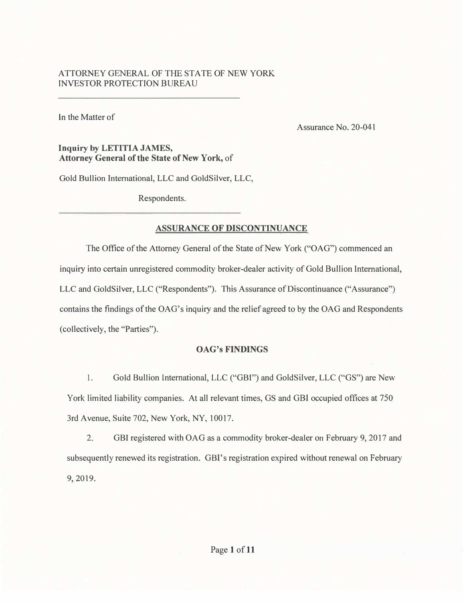# ATTOR<sup>N</sup> EY GENERAL OF THE STATE OF NEW YORK INVESTOR PROTECTION BUREAU

In the Matter of

Assurance No. 20-041

## **Inquiry by LETITIA JAMES, Attorney General of the State of New York,** of

Gold Bullion International, LLC and GoldSilver, LLC,

Respondents.

# **ASSURANCE OF DISCONTINUANCE**

The Office of the Attorney General of the State of New York ("OAG") commenced an inquiry into certain unregistered commodity broker-dealer activity of Gold Bullion International, LLC and GoldSilver, LLC ("Respondents"). This Assurance of Discontinuance ("Assurance") contains the findings of the OAG's inquiry and the relief agreed to by the OAG and Respondents (collectively, the "Parties").

# **OAG's FINDINGS**

1. Gold Bullion International, LLC ("GBI") and GoldSilver, LLC ("GS") are New York limited liability companies. At all relevant times, GS and GBI occupied offices at 750 3rd Avenue, Suite 702, New York, NY, 10017.

2. GBI registered with OAG as a commodity broker-dealer on February 9, 2017 and subsequently renewed its registration. GBI's registration expired without renewal on February 9, 2019.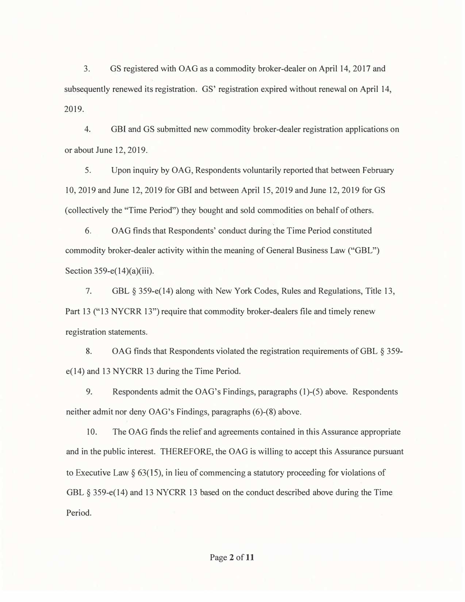3. GS registered with OAG as a commodity broker-dealer on April 14, 2017 and subsequently renewed its registration. GS' registration expired without renewal on April 14, 2019.

4. GBI and GS submitted new commodity broker-dealer registration applications on or about June 12, 2019.

5. Upon inquiry by OAG, Respondents voluntarily reported that between February 10, 2019 and June 12, 2019 for GBI and between April 15, 2019 and June 12, 2019 for GS ( collectively the "Time Period") they bought and sold commodities on behalf of others.

6. OAG finds that Respondents' conduct during the Time Period constituted commodity broker-dealer activity within the meaning of General Business Law ("GBL") Section 359-e(14)(a)(iii).

7. GBL § 359-e(14) along with New York Codes, Rules and Regulations, Title 13, Part 13 ("13 NYCRR 13") require that commodity broker-dealers file and timely renew registration statements.

8. OAG finds that Respondents violated the registration requirements of GBL § 359 e(14) and 13 NYCRR 13 during the Time Period.

9. Respondents admit the OAG's Findings, paragraphs (1)-(5) above. Respondents neither admit nor deny OAG's Findings, paragraphs (6)-(8) above.

10. The OAG finds the relief and agreements contained in this Assurance appropriate and in the public interest. THEREFORE, the OAG is willing to accept this Assurance pursuant to Executive Law *§* 63(15), in lieu of commencing a statutory proceeding for violations of GBL § 359-e(14) and 13 NYCRR 13 based on the conduct described above during the Time Period.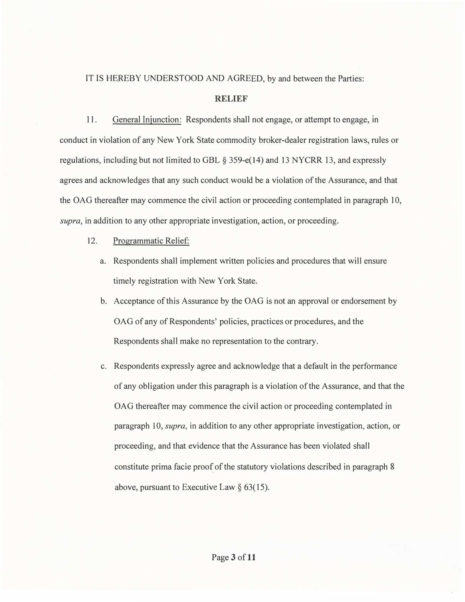IT IS HEREBY UNDERSTOOD AND AGREED, by and between the Parties:

#### **RELIEF**

11. General Injunction: Respondents shall not engage, or attempt to engage, in conduct in violation of any New York State commodity broker-dealer registration laws, rules or regulations, including but not limited to GBL  $\S 359-e(14)$  and 13 NYCRR 13, and expressly agrees and acknowledges that any such conduct would be a violation of the Assurance, and that the OAG thereafter may commence the civil action or proceeding contemplated in paragraph 10, *supra,* in addition to any other appropriate investigation, action, or proceeding.

#### 12.Programmatic Relief:

- a. Respondents shall implement written policies and procedures that will ensure timely registration with New York State.
- b. Acceptance of this Assurance by the OAG is not an approval or endorsement by OAG of any of Respondents' policies, practices or procedures, and the Respondents shall make no representation to the contrary.
- c. Respondents expressly agree and acknowledge that a default in the performance of any obligation under this paragraph is a violation of the Assurance, and that the OAG thereafter may commence the civil action or proceeding contemplated in paragraph 10, *supra,* in addition to any other appropriate investigation, action, or proceeding, and that evidence that the Assurance has been violated shall constitute prima facie proof of the statutory violations described in paragraph 8 above, pursuant to Executive Law  $\S$  63(15).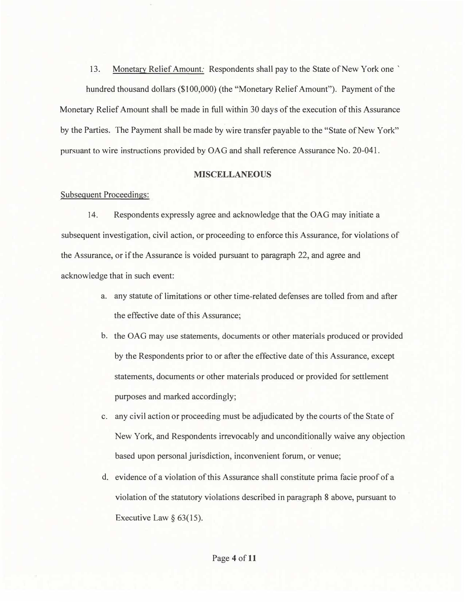13. Monetary Relief Amount: Respondents shall pay to the State of New York one '

hundred thousand dollars (\$100,000) (the "Monetary Relief Amount"). Payment of the Monetary Relief Amount shall be made in full within 30 days of the execution of this Assurance by the Parties. The Payment shall be made by wire transfer payable to the "State of New York" pursuant to wire instructions provided by OAG and shall reference Assurance No. 20-041.

#### **MISCELLANEOUS**

#### Subsequent Proceedings:

14. Respondents expressly agree and acknowledge that the OAG may initiate a subsequent investigation, civil action, or proceeding to enforce this Assurance, for violations of the Assurance, or if the Assurance is voided pursuant to paragraph 22, and agree and acknowledge that in such event:

- a. any statute of limitations or other time-related defenses are tolled from and after the effective date of this Assurance;
- b. the OAG may use statements, documents or other materials produced or provided by the Respondents prior to or after the effective date of this Assurance, except statements, documents or other materials produced or provided for settlement purposes and marked accordingly;
- c. any civil action or proceeding must be adjudicated by the courts of the State of New York, and Respondents irrevocably and unconditionally waive any objection based upon personal jurisdiction, inconvenient forum, or venue;
- d. evidence of a violation of this Assurance shall constitute prima facie proof of a violation of the statutory violations described in paragraph 8 above, pursuant to Executive Law  $\S$  63(15).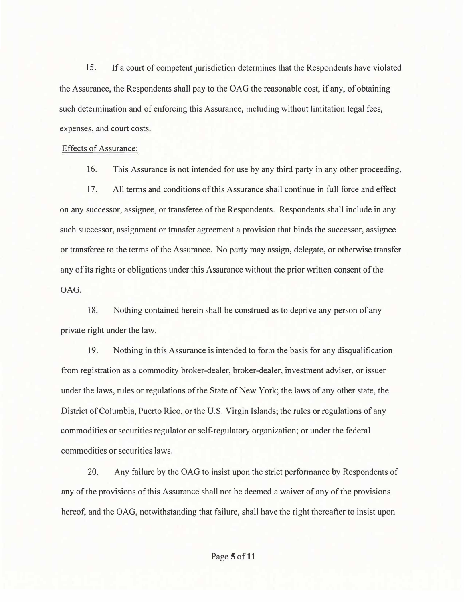15. If a court of competent jurisdiction determines that the Respondents have violated the Assurance, the Respondents shall pay to the OAG the reasonable cost, if any, of obtaining such determination and of enforcing this Assurance, including without limitation legal fees, expenses, and court costs.

#### Effects of Assurance:

16. This Assurance is not intended for use by any third party in any other proceeding.

17. All terms and conditions of this Assurance shall continue in full force and effect on any successor, assignee, or transferee of the Respondents. Respondents shall include in any such successor, assignment or transfer agreement a provision that binds the successor, assignee or transferee to the terms of the Assurance. No party may assign, delegate, or otherwise transfer any of its rights or obligations under this Assurance without the prior written consent of the OAG.

18. Nothing contained herein shall be construed as to deprive any person of any private right under the law.

19. Nothing in this Assurance is intended to form the basis for any disqualification from registration as a commodity broker-dealer, broker-dealer, investment adviser, or issuer under the laws, rules or regulations of the State of New York; the laws of any other state, the District of Columbia, Puerto Rico, or the U.S. Virgin Islands; the rules or regulations of any commodities or securities regulator or self-regulatory organization; or under the federal commodities or securities laws.

20. Any failure by the OAG to insist upon the strict performance by Respondents of any of the provisions of this Assurance shall not be deemed a waiver of any of the provisions hereof, and the OAG, notwithstanding that failure, shall have the right thereafter to insist upon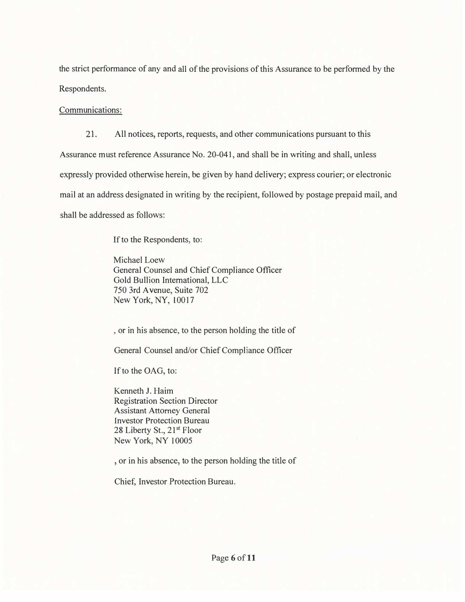the strict performance of any and all of the provisions of this Assurance to be performed by the Respondents.

Communications:

21. All notices, reports, requests, and other communications pursuant to this Assurance must reference Assurance No. 20-041, and shall be in writing and shall, unless expressly provided otherwise herein, be given by hand delivery; express courier; or electronic mail at an address designated in writing by the recipient, followed by postage prepaid mail, and shall be addressed as follows:

If to the Respondents, to:

Michael Loew General Counsel and Chief Compliance Officer Gold Bullion International, LLC 750 3rd A venue, Suite 702 New York, NY, 10017

, or in his absence, to the person holding the title of

General Counsel and/or Chief Compliance Officer

If to the OAG, to:

Kenneth J. Haim Registration Section Director Assistant Attorney General **Investor Protection Bureau** 28 Liberty St., 21<sup>st</sup> Floor New York, NY 10005

, or in his absence, to the person holding the title of

Chief, Investor Protection Bureau.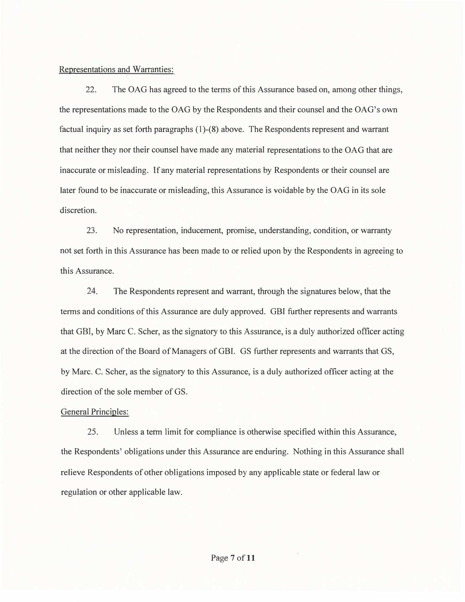#### Representations and Warranties:

22. The OAG has agreed to the terms of this Assurance based on, among other things, the representations made to the OAG by the Respondents and their counsel and the OAG's own factual inquiry as set forth paragraphs (1)-(8) above. The Respondents represent and warrant that neither they nor their counsel have made any material representations to the OAG that are inaccurate or misleading. If any material representations by Respondents or their counsel are later found to be inaccurate or misleading, this Assurance is voidable by the OAG in its sole discretion.

23. No representation, inducement, promise, understanding, condition, or warranty not set forth in this Assurance has been made to or relied upon by the Respondents in agreeing to this Assurance.

24. The Respondents represent and warrant, through the signatures below, that the terms and conditions of this Assurance are duly approved. GBI further represents and warrants that GBI, by Marc C. Scher, as the signatory to this Assurance, is a duly authorized officer acting at the direction of the Board of Managers of GBI. GS further represents and warrants that GS, by Marc. C. Scher, as the signatory to this Assurance, is a duly authorized officer acting at the direction of the sole member of GS.

### General Principles:

25. Unless a term limit for compliance is otherwise specified within this Assurance, the Respondents' obligations under this Assurance are enduring. Nothing in this Assurance shall relieve Respondents of other obligations imposed by any applicable state or federal law or regulation or other applicable law.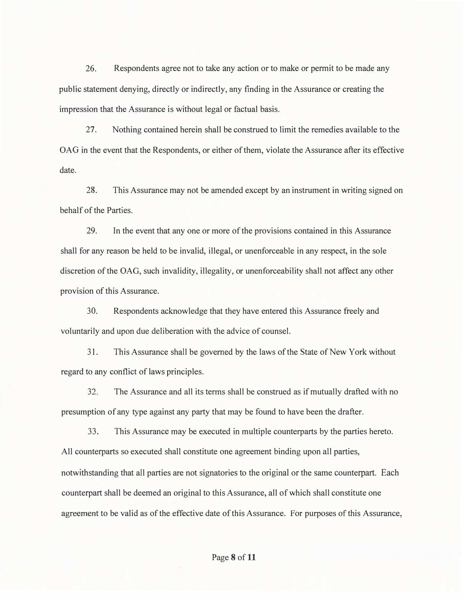26. Respondents agree not to take any action or to make or permit to be made any public statement denying, directly or indirectly, any finding in the Assurance or creating the impression that the Assurance is without legal or factual basis.

27. Nothing contained herein shall be construed to limit the remedies available to the OAG in the event that the Respondents, or either of them, violate the Assurance after its effective date.

28. This Assurance may not be amended except by an instrument in writing signed on behalf of the Parties.

29. In the event that any one or more of the provisions contained in this Assurance shall for any reason be held to be invalid, illegal, or unenforceable in any respect, in the sole discretion of the OAG, such invalidity, illegality, or unenforceability shall not affect any other provision of this Assurance.

30. Respondents acknowledge that they have entered this Assurance freely and voluntarily and upon due deliberation with the advice of counsel.

31. This Assurance shall be governed by the laws of the State of New York without regard to any conflict of laws principles.

32. The Assurance and all its terms shall be construed as if mutually drafted with no presumption of any type against any party that may be found to have been the drafter.

33. This Assurance may be executed in multiple counterparts by the parties hereto. All counterparts so executed shall constitute one agreement binding upon all parties, notwithstanding that all parties are not signatories to the original or the same counterpart. Each counterpart shall be deemed an original to this Assurance, all of which shall constitute one agreement to be valid as of the effective date of this Assurance. For purposes of this Assurance,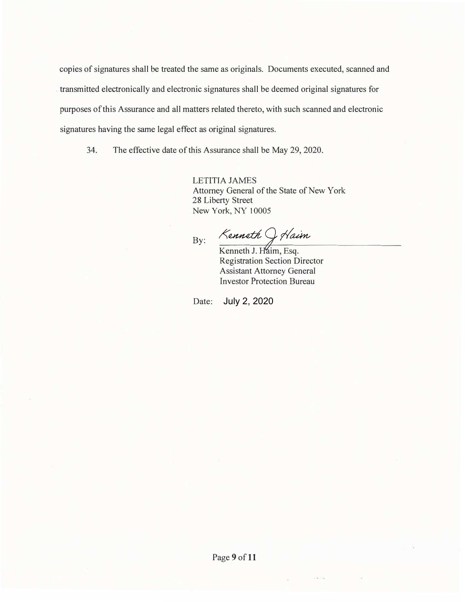copies of signatures shall be treated the same as originals. Documents executed, scanned and . transmitted electronically and electronic signatures shall be deemed original signatures for purposes of this Assurance and all matters related thereto, with such scanned and electronic signatures having the same legal effect as original signatures.

34. The effective date of this Assurance shall be May 29, 2020.

LETITIA JAMES Attorney General of the State of New York 28 Liberty Street New York, NY 10005

By:

Kenneth Of Haim

Kenneth J. Haim, Esq. Registration Section Director Assistant Attorney General Investor Protection Bureau

Date: July 2, 2020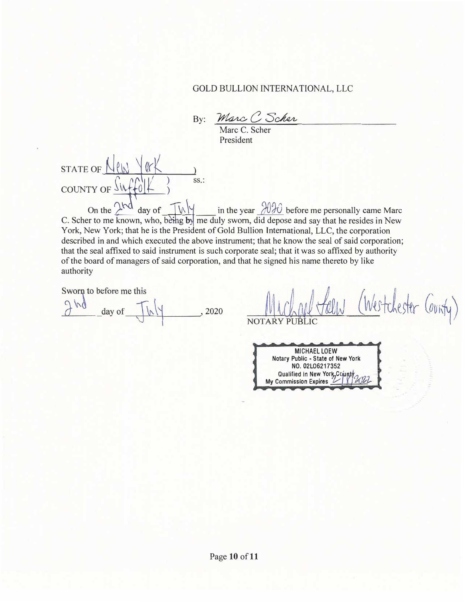# GOLD BULLION INTERNATIONAL, LLC

By: Marc C Scher

Marc C. Scher President

STATE OF  $N(N \mid N)$  ss.: COUNTY OF  $\frac{\int \inf_{\Theta} ||f| \, d\theta}{\int_{\Theta} ||f| \, d\theta}$  ss.:

On the  $\frac{\partial^2 u}{\partial x^2}$  day of  $\frac{\partial^2 u}{\partial x^2}$  in the year  $\frac{\partial^2 u}{\partial x^2}$  before me personally came Marce C. Scher to me known, who, bethe by me duly sworn, did depose and say that he resides in New York, New York; that he is the President of Gold Bullion International, LLC, the corporation described in and which executed the above instrument; that he know the seal of said corporation; that the seal affixed to said instrument is such corporate seal; that it was so affixed by authority of the board of managers of said corporation, and that he signed his name thereto by like authority

Sworn to before me this

day of , 2020

hester County) Weste **NOTAR** 

**MICHAEL LOEW**  Notary Public • State of New York **NO. 02L06217352**  Qualified in New York County<br>My Commission Expires 21